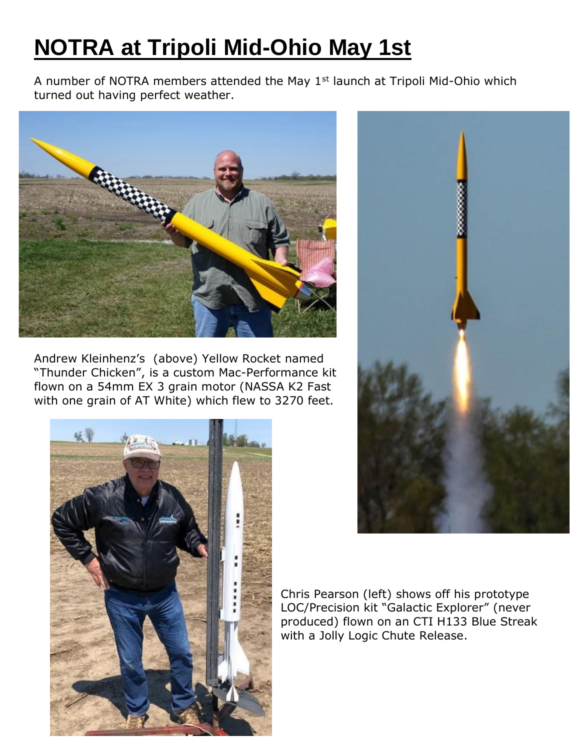## **NOTRA at Tripoli Mid-Ohio May 1st**

A number of NOTRA members attended the May 1<sup>st</sup> launch at Tripoli Mid-Ohio which turned out having perfect weather.



Andrew Kleinhenz's (above) Yellow Rocket named "Thunder Chicken", is a custom Mac-Performance kit flown on a 54mm EX 3 grain motor (NASSA K2 Fast with one grain of AT White) which flew to 3270 feet.



Chris Pearson (left) shows off his prototype LOC/Precision kit "Galactic Explorer" (never produced) flown on an CTI H133 Blue Streak with a Jolly Logic Chute Release.

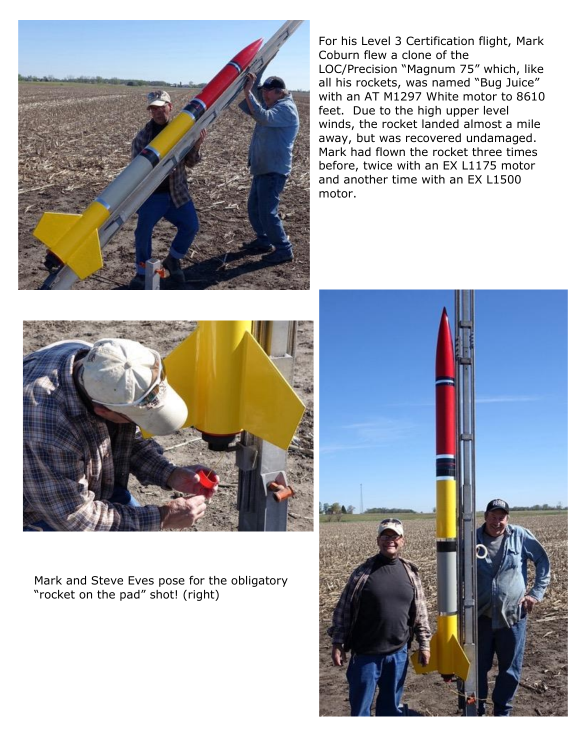

For his Level 3 Certification flight, Mark Coburn flew a clone of the LOC/Precision "Magnum 75" which, like all his rockets, was named "Bug Juice" with an AT M1297 White motor to 8610 feet. Due to the high upper level winds, the rocket landed almost a mile away, but was recovered undamaged. Mark had flown the rocket three times before, twice with an EX L1175 motor and another time with an EX L1500 motor.



Mark and Steve Eves pose for the obligatory "rocket on the pad" shot! (right)

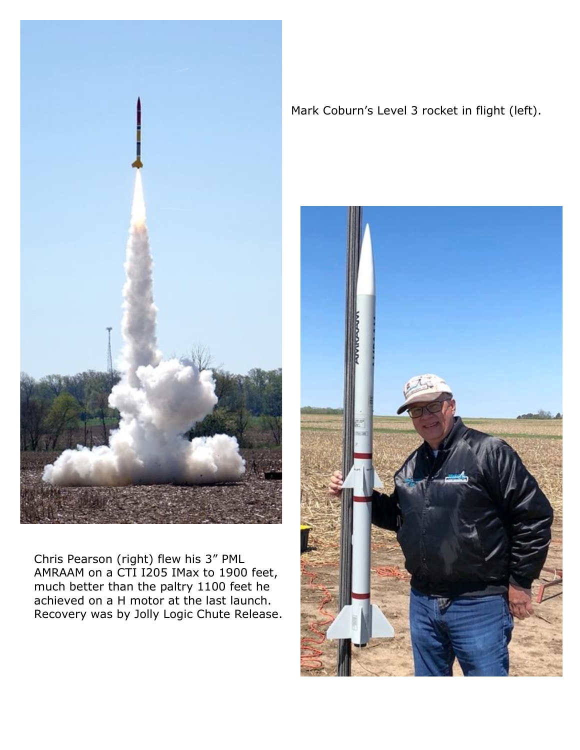

Chris Pearson (right) flew his 3" PML AMRAAM on a CTI I205 IMax to 1900 feet, much better than the paltry 1100 feet he achieved on a H motor at the last launch. Recovery was by Jolly Logic Chute Release.

Mark Coburn's Level 3 rocket in flight (left).

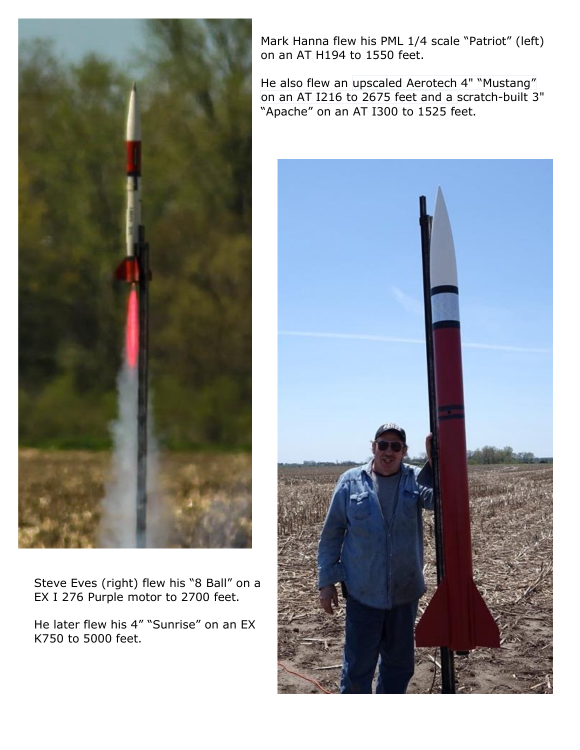

Steve Eves (right) flew his "8 Ball" on a EX I 276 Purple motor to 2700 feet.

He later flew his 4" "Sunrise" on an EX K750 to 5000 feet.

Mark Hanna flew his PML 1/4 scale "Patriot" (left) on an AT H194 to 1550 feet.

He also flew an upscaled Aerotech 4" "Mustang" on an AT I216 to 2675 feet and a scratch-built 3" "Apache" on an AT I300 to 1525 feet.

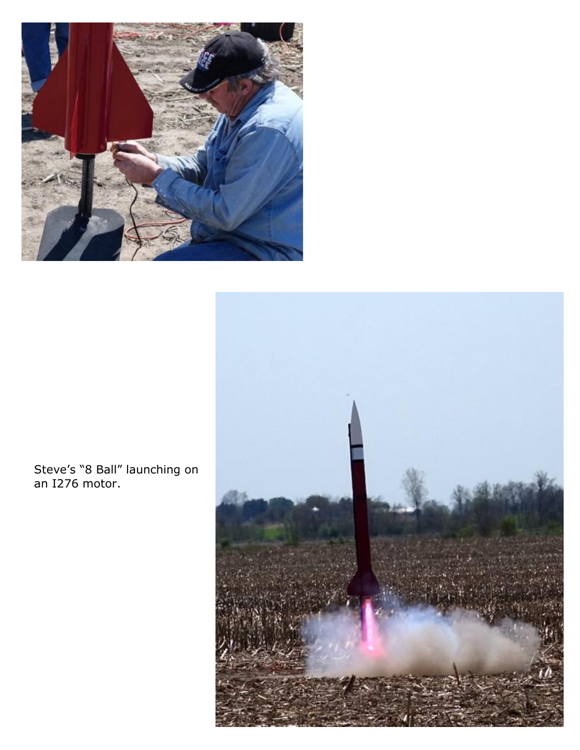

Steve's "8 Ball" launching on an I276 motor.

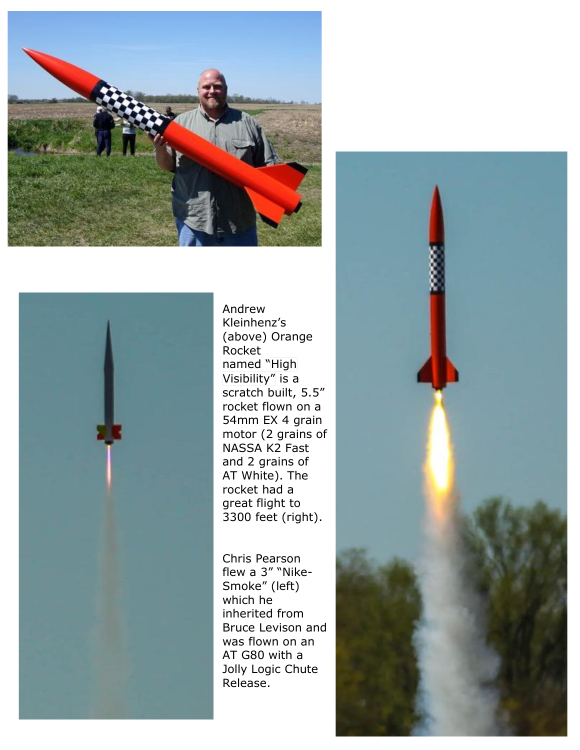



Andrew Kleinhenz's (above) Orange Rocket named "High Visibility" is a scratch built, 5.5" rocket flown on a 54mm EX 4 grain motor (2 grains of NASSA K2 Fast and 2 grains of AT White). The rocket had a great flight to 3300 feet (right).

Chris Pearson flew a 3" "Nike-Smoke" (left) which he inherited from Bruce Levison and was flown on an AT G80 with a Jolly Logic Chute Release.

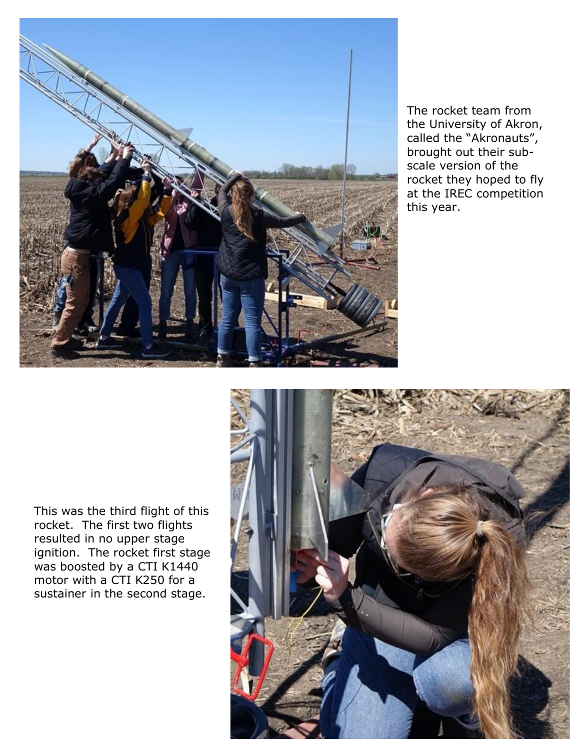

The rocket team from the University of Akron, called the "Akronauts", brought out their subscale version of the rocket they hoped to fly at the IREC competition this year.

This was the third flight of this rocket. The first two flights resulted in no upper stage ignition. The rocket first stage was boosted by a CTI K1440 motor with a CTI K250 for a sustainer in the second stage.

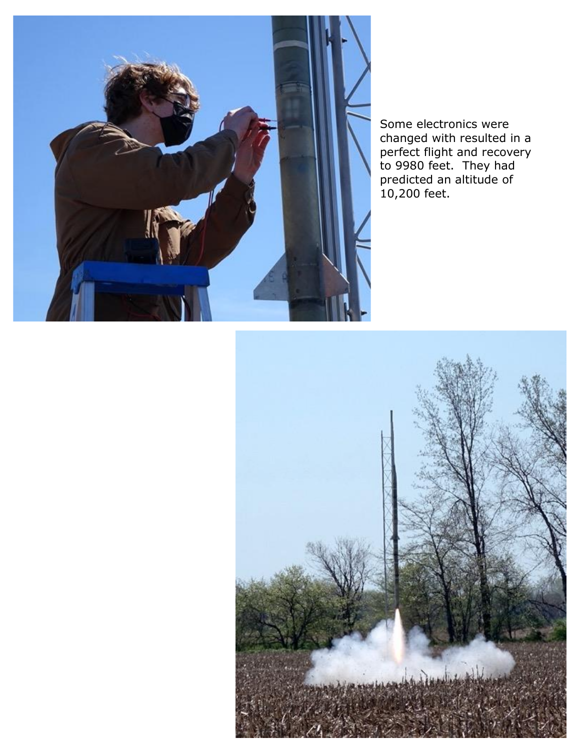

Some electronics were changed with resulted in a perfect flight and recovery to 9980 feet. They had predicted an altitude of 10,200 feet.

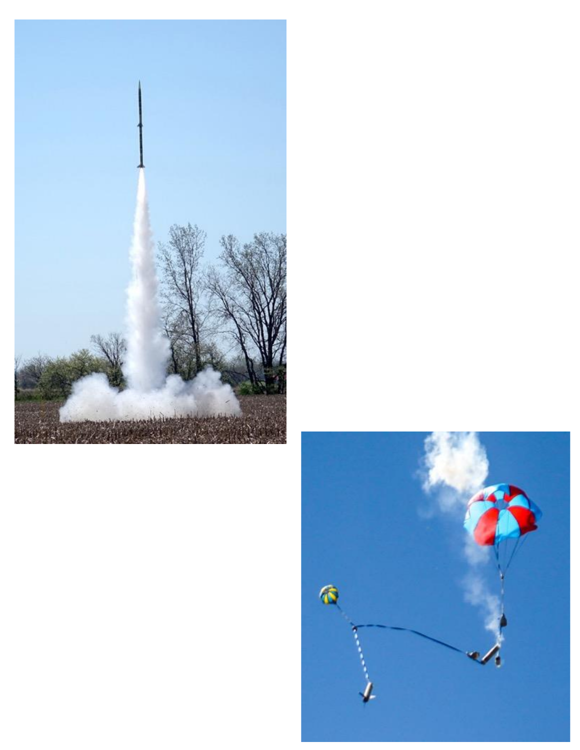